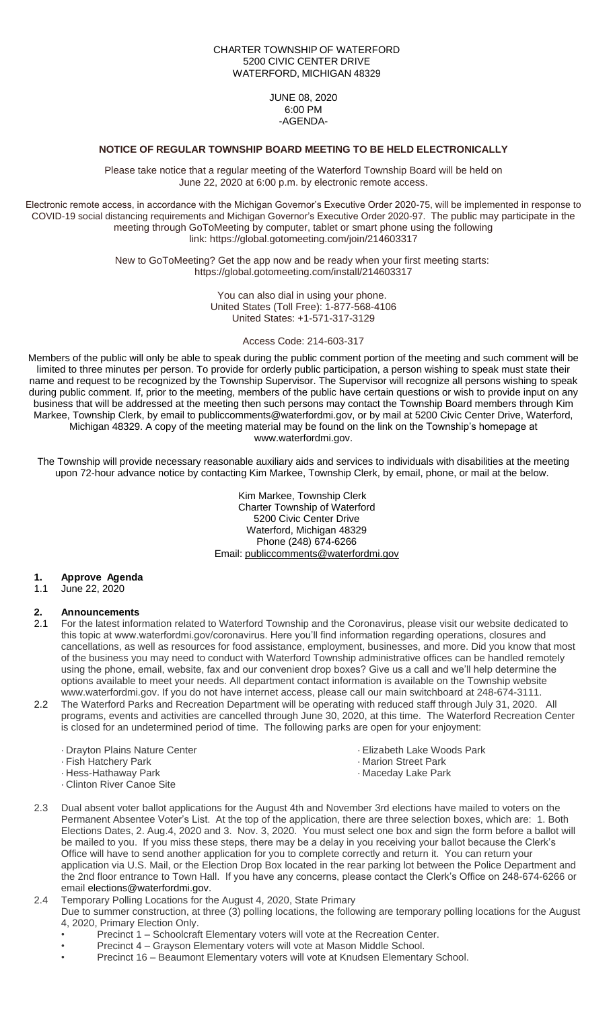#### CHARTER TOWNSHIP OF WATERFORD 5200 CIVIC CENTER DRIVE WATERFORD, MICHIGAN 48329

JUNE 08, 2020 6:00 PM -AGENDA-

# **NOTICE OF REGULAR TOWNSHIP BOARD MEETING TO BE HELD ELECTRONICALLY**

Please take notice that a regular meeting of the Waterford Township Board will be held on June 22, 2020 at 6:00 p.m. by electronic remote access.

Electronic remote access, in accordance with the Michigan Governor's Executive Order 2020-75, will be implemented in response to COVID-19 social distancing requirements and Michigan Governor's Executive Order 2020-97. The public may participate in the meeting through GoToMeeting by computer, tablet or smart phone using the following link: https://global.gotomeeting.com/join/214603317

> New to GoToMeeting? Get the app now and be ready when your first meeting starts: https://global.gotomeeting.com/install/214603317

> > You can also dial in using your phone. United States (Toll Free): 1-877-568-4106 United States: +1-571-317-3129

> > > Access Code: 214-603-317

Members of the public will only be able to speak during the public comment portion of the meeting and such comment will be limited to three minutes per person. To provide for orderly public participation, a person wishing to speak must state their name and request to be recognized by the Township Supervisor. The Supervisor will recognize all persons wishing to speak during public comment. If, prior to the meeting, members of the public have certain questions or wish to provide input on any business that will be addressed at the meeting then such persons may contact the Township Board members through Kim Markee, Township Clerk, by email to publiccomments@waterfordmi.gov, or by mail at 5200 Civic Center Drive, Waterford, Michigan 48329. A copy of the meeting material may be found on the link on the Township's homepage at www.waterfordmi.gov.

The Township will provide necessary reasonable auxiliary aids and services to individuals with disabilities at the meeting upon 72-hour advance notice by contacting Kim Markee, Township Clerk, by email, phone, or mail at the below.

> Kim Markee, Township Clerk Charter Township of Waterford 5200 Civic Center Drive Waterford, Michigan 48329 Phone (248) 674-6266 Email: [publiccomments@waterfordmi.gov](mailto:publiccomments@waterfordmi.gov)

#### **1. Approve Agenda**

1.1 June 22, 2020

#### **2. Announcements**

- 2.1 For the latest information related to Waterford Township and the Coronavirus, please visit our website dedicated to this topic at www.waterfordmi.gov/coronavirus. Here you'll find information regarding operations, closures and cancellations, as well as resources for food assistance, employment, businesses, and more. Did you know that most of the business you may need to conduct with Waterford Township administrative offices can be handled remotely using the phone, email, website, fax and our convenient drop boxes? Give us a call and we'll help determine the options available to meet your needs. All department contact information is available on the Township website www.waterfordmi.gov. If you do not have internet access, please call our main switchboard at 248-674-3111.
- 2.2 The Waterford Parks and Recreation Department will be operating with reduced staff through July 31, 2020. All programs, events and activities are cancelled through June 30, 2020, at this time. The Waterford Recreation Center is closed for an undetermined period of time. The following parks are open for your enjoyment:
	- · Drayton Plains Nature Center
	- · Fish Hatchery Park
	- · Hess-Hathaway Park
	- · Clinton River Canoe Site
- ·Elizabeth Lake Woods Park
- · Marion Street Park
- · Maceday Lake Park
- 2.3 Dual absent voter ballot applications for the August 4th and November 3rd elections have mailed to voters on the Permanent Absentee Voter's List. At the top of the application, there are three selection boxes, which are: 1. Both Elections Dates, 2. Aug.4, 2020 and 3. Nov. 3, 2020. You must select one box and sign the form before a ballot will be mailed to you. If you miss these steps, there may be a delay in you receiving your ballot because the Clerk's Office will have to send another application for you to complete correctly and return it. You can return your application via U.S. Mail, or the Election Drop Box located in the rear parking lot between the Police Department and the 2nd floor entrance to Town Hall. If you have any concerns, please contact the Clerk's Office on 248-674-6266 or email [elections@waterfordmi.gov.](mailto:elections@waterfordmi.gov)
- 2.4 Temporary Polling Locations for the August 4, 2020, State Primary
	- Due to summer construction, at three (3) polling locations, the following are temporary polling locations for the August 4, 2020, Primary Election Only.
		- Precinct 1 Schoolcraft Elementary voters will vote at the Recreation Center.
		- Precinct 4 Grayson Elementary voters will vote at Mason Middle School.
		- Precinct 16 Beaumont Elementary voters will vote at Knudsen Elementary School.